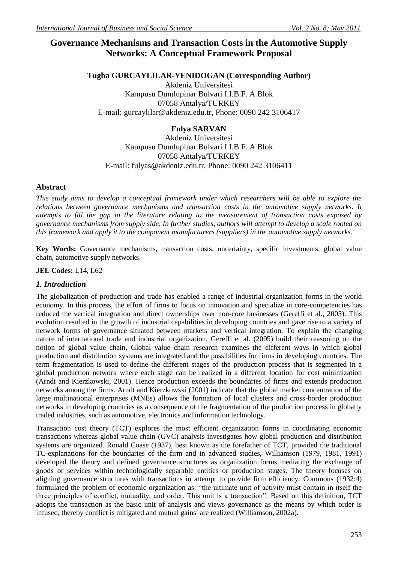# **Governance Mechanisms and Transaction Costs in the Automotive Supply Networks: A Conceptual Framework Proposal**

**Tugba GURCAYLILAR-YENIDOGAN (Corresponding Author)**

Akdeniz Universitesi Kampusu Dumlupinar Bulvari I.I.B.F. A Blok 07058 Antalya/TURKEY E-mail: [gurcaylilar@akdeniz.edu.tr,](mailto:gurcaylilar@akdeniz.edu.tr) Phone: 0090 242 3106417

# **Fulya SARVAN**

Akdeniz Universitesi Kampusu Dumlupinar Bulvari I.I.B.F. A Blok 07058 Antalya/TURKEY E-mail: [fulyas@akdeniz.edu.tr,](mailto:fulyas@akdeniz.edu.tr) Phone: 0090 242 3106411

# **Abstract**

*This study aims to develop a conceptual framework under which researchers will be able to explore the relations between governance mechanisms and transaction costs in the automotive supply networks. It attempts to fill the gap in the literature relating to the measurement of transaction costs exposed by governance mechanisms from supply side. In further studies, authors will attempt to develop a scale rooted on this framework and apply it to the component manufacturers (suppliers) in the automotive supply networks.*

**Key Words:** Governance mechanisms, transaction costs, uncertainty, specific investments, global value chain, automotive supply networks.

**JEL Codes:** L14, L62

# *1. Introduction*

The globalization of production and trade has enabled a range of industrial organization forms in the world economy. In this process, the effort of firms to focus on innovation and specialize in core-competencies has reduced the vertical integration and direct ownerships over non-core businesses (Gereffi et al., 2005). This evolution resulted in the growth of industrial capabilities in developing countries and gave rise to a variety of network forms of governance situated between markets and vertical integration. To explain the changing nature of international trade and industrial organization, Gereffi et al. (2005) build their reasoning on the notion of global value chain. Global value chain research examines the different ways in which global production and distribution systems are integrated and the possibilities for firms in developing countries. The term fragmentation is used to define the different stages of the production process that is segmented in a global production network where each stage can be realized in a different location for cost minimization (Arndt and Kierzkowski, 2001). Hence production exceeds the boundaries of firms and extends production networks among the firms. Arndt and Kierzkowski (2001) indicate that the global market concentration of the large multinational enterprises (MNEs) allows the formation of local clusters and cross-border production networks in developing countries as a consequence of the fragmentation of the production process in globally traded industries, such as automotive, electronics and information technology.

Transaction cost theory (TCT) explores the most efficient organization forms in coordinating economic transactions whereas global value chain (GVC) analysis investigates how global production and distribution systems are organized. Ronald Coase (1937), best known as the forefather of TCT, provided the traditional TC-explanations for the boundaries of the firm and in advanced studies, Williamson (1979, 1981, 1991) developed the theory and defined governance structures as organization forms mediating the exchange of goods or services within technologically separable entities or production stages. The theory focuses on aligning governance structures with transactions in attempt to provide firm efficiency. Commons (1932:4) formulated the problem of economic organization as: "the ultimate unit of activity must contain in itself the three principles of conflict, mutuality, and order. This unit is a transaction". Based on this definition, TCT adopts the transaction as the basic unit of analysis and views governance as the means by which order is infused, thereby conflict is mitigated and mutual gains are realized (Williamson, 2002a).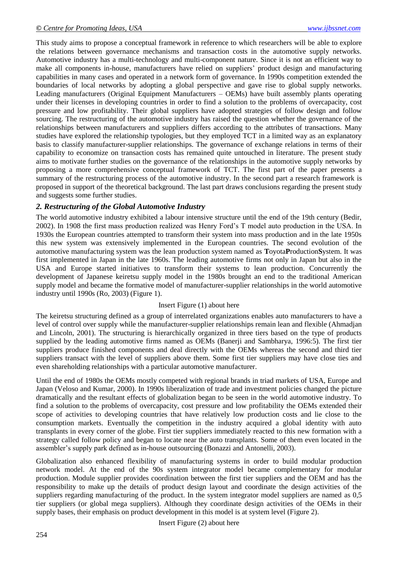This study aims to propose a conceptual framework in reference to which researchers will be able to explore the relations between governance mechanisms and transaction costs in the automotive supply networks. Automotive industry has a multi-technology and multi-component nature. Since it is not an efficient way to make all components in-house, manufacturers have relied on suppliers' product design and manufacturing capabilities in many cases and operated in a network form of governance. In 1990s competition extended the boundaries of local networks by adopting a global perspective and gave rise to global supply networks. Leading manufacturers (Original Equipment Manufacturers – OEMs) have built assembly plants operating under their licenses in developing countries in order to find a solution to the problems of overcapacity, cost pressure and low profitability. Their global suppliers have adopted strategies of follow design and follow sourcing. The restructuring of the automotive industry has raised the question whether the governance of the relationships between manufacturers and suppliers differs according to the attributes of transactions. Many studies have explored the relationship typologies, but they employed TCT in a limited way as an explanatory basis to classify manufacturer-supplier relationships. The governance of exchange relations in terms of their capability to economize on transaction costs has remained quite untouched in literature. The present study aims to motivate further studies on the governance of the relationships in the automotive supply networks by proposing a more comprehensive conceptual framework of TCT. The first part of the paper presents a summary of the restructuring process of the automotive industry. In the second part a research framework is proposed in support of the theoretical background. The last part draws conclusions regarding the present study and suggests some further studies.

### *2. Restructuring of the Global Automotive Industry*

The world automotive industry exhibited a labour intensive structure until the end of the 19th century (Bedir, 2002). In 1908 the first mass production realized was Henry Ford's T model auto production in the USA. In 1930s the European countries attempted to transform their system into mass production and in the late 1950s this new system was extensively implemented in the European countries. The second evolution of the automotive manufacturing system was the lean production system named as **T**oyota**P**roduction**S**ystem. It was first implemented in Japan in the late 1960s. The leading automotive firms not only in Japan but also in the USA and Europe started initiatives to transform their systems to lean production. Concurrently the development of Japanese keiretsu supply model in the 1980s brought an end to the traditional American supply model and became the formative model of manufacturer-supplier relationships in the world automotive industry until 1990s (Ro, 2003) (Figure 1).

#### Insert Figure (1) about here

The keiretsu structuring defined as a group of interrelated organizations enables auto manufacturers to have a level of control over supply while the manufacturer-supplier relationships remain lean and flexible (Ahmadjan and Lincoln, 2001). The structuring is hierarchically organized in three tiers based on the type of products supplied by the leading automotive firms named as OEMs (Banerji and Sambharya, 1996:5). The first tier suppliers produce finished components and deal directly with the OEMs whereas the second and third tier suppliers transact with the level of suppliers above them. Some first tier suppliers may have close ties and even shareholding relationships with a particular automotive manufacturer.

Until the end of 1980s the OEMs mostly competed with regional brands in triad markets of USA, Europe and Japan (Veloso and Kumar, 2000). In 1990s liberalization of trade and investment policies changed the picture dramatically and the resultant effects of globalization began to be seen in the world automotive industry. To find a solution to the problems of overcapacity, cost pressure and low profitability the OEMs extended their scope of activities to developing countries that have relatively low production costs and lie close to the consumption markets. Eventually the competition in the industry acquired a global identity with auto transplants in every corner of the globe. First tier suppliers immediately reacted to this new formation with a strategy called follow policy and began to locate near the auto transplants. Some of them even located in the assembler's supply park defined as in-house outsourcing (Bonazzi and Antonelli, 2003).

Globalization also enhanced flexibility of manufacturing systems in order to build modular production network model. At the end of the 90s system integrator model became complementary for modular production. Module supplier provides coordination between the first tier suppliers and the OEM and has the responsibility to make up the details of product design layout and coordinate the design activities of the suppliers regarding manufacturing of the product. In the system integrator model suppliers are named as 0,5 tier suppliers (or global mega suppliers). Although they coordinate design activities of the OEMs in their supply bases, their emphasis on product development in this model is at system level (Figure 2).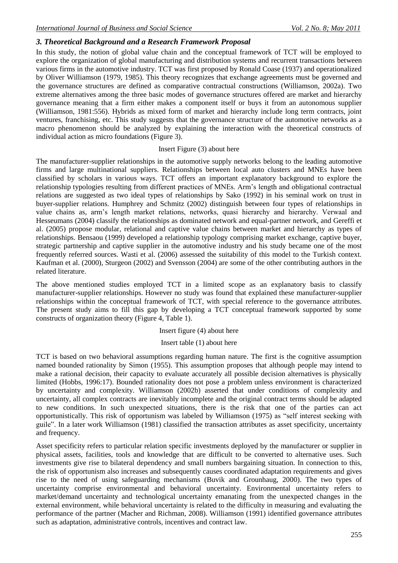# *3. Theoretical Background and a Research Framework Proposal*

In this study, the notion of global value chain and the conceptual framework of TCT will be employed to explore the organization of global manufacturing and distribution systems and recurrent transactions between various firms in the automotive industry. TCT was first proposed by Ronald Coase (1937) and operationalized by Oliver Williamson (1979, 1985). This theory recognizes that exchange agreements must be governed and the governance structures are defined as comparative contractual constructions (Williamson, 2002a). Two extreme alternatives among the three basic modes of governance structures offered are market and hierarchy governance meaning that a firm either makes a component itself or buys it from an autonomous supplier (Williamson, 1981:556). Hybrids as mixed form of market and hierarchy include long term contracts, joint ventures, franchising, etc. This study suggests that the governance structure of the automotive networks as a macro phenomenon should be analyzed by explaining the interaction with the theoretical constructs of individual action as micro foundations (Figure 3).

#### Insert Figure (3) about here

The manufacturer-supplier relationships in the automotive supply networks belong to the leading automotive firms and large multinational suppliers. Relationships between local auto clusters and MNEs have been classified by scholars in various ways. TCT offers an important explanatory background to explore the relationship typologies resulting from different practices of MNEs. Arm's length and obligational contractual relations are suggested as two ideal types of relationships by Sako (1992) in his seminal work on trust in buyer-supplier relations. Humphrey and Schmitz (2002) distinguish between four types of relationships in value chains as, arm's length market relations, networks, quasi hierarchy and hierarchy. Verwaal and Hesseumans (2004) classify the relationships as dominated network and equal-partner network, and Gereffi et al. (2005) propose modular, relational and captive value chains between market and hierarchy as types of relationships. Bensaou (1999) developed a relationship typology comprising market exchange, captive buyer, strategic partnership and captive supplier in the automotive industry and his study became one of the most frequently referred sources. Wasti et al. (2006) assessed the suitability of this model to the Turkish context. Kaufman et al. (2000), Sturgeon (2002) and Svensson (2004) are some of the other contributing authors in the related literature.

The above mentioned studies employed TCT in a limited scope as an explanatory basis to classify manufacturer-supplier relationships. However no study was found that explained these manufacturer-supplier relationships within the conceptual framework of TCT, with special reference to the governance attributes. The present study aims to fill this gap by developing a TCT conceptual framework supported by some constructs of organization theory (Figure 4, Table 1).

#### Insert figure (4) about here

#### Insert table (1) about here

TCT is based on two behavioral assumptions regarding human nature. The first is the cognitive assumption named bounded rationality by Simon (1955). This assumption proposes that although people may intend to make a rational decision, their capacity to evaluate accurately all possible decision alternatives is physically limited (Hobbs, 1996:17). Bounded rationality does not pose a problem unless environment is characterized by uncertainty and complexity. Williamson (2002b) asserted that under conditions of complexity and uncertainty, all complex contracts are inevitably incomplete and the original contract terms should be adapted to new conditions. In such unexpected situations, there is the risk that one of the parties can act opportunistically. This risk of opportunism was labeled by Williamson (1975) as "self interest seeking with guile". In a later work Williamson (1981) classified the transaction attributes as asset specificity, uncertainty and frequency.

Asset specificity refers to particular relation specific investments deployed by the manufacturer or supplier in physical assets, facilities, tools and knowledge that are difficult to be converted to alternative uses. Such investments give rise to bilateral dependency and small numbers bargaining situation. In connection to this, the risk of opportunism also increases and subsequently causes coordinated adaptation requirements and gives rise to the need of using safeguarding mechanisms (Buvik and Grounhaug, 2000). The two types of uncertainty comprise environmental and behavioral uncertainty. Environmental uncertainty refers to market/demand uncertainty and technological uncertainty emanating from the unexpected changes in the external environment, while behavioral uncertainty is related to the difficulty in measuring and evaluating the performance of the partner (Macher and Richman, 2008). Williamson (1991) identified governance attributes such as adaptation, administrative controls, incentives and contract law.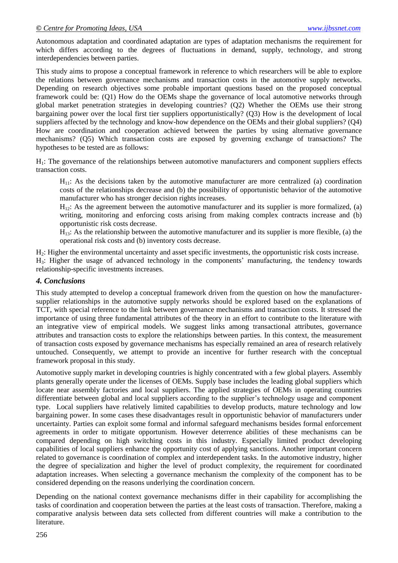Autonomous adaptation and coordinated adaptation are types of adaptation mechanisms the requirement for which differs according to the degrees of fluctuations in demand, supply, technology, and strong interdependencies between parties.

This study aims to propose a conceptual framework in reference to which researchers will be able to explore the relations between governance mechanisms and transaction costs in the automotive supply networks. Depending on research objectives some probable important questions based on the proposed conceptual framework could be: (Q1) How do the OEMs shape the governance of local automotive networks through global market penetration strategies in developing countries? (Q2) Whether the OEMs use their strong bargaining power over the local first tier suppliers opportunistically? (Q3) How is the development of local suppliers affected by the technology and know-how dependence on the OEMs and their global suppliers? (Q4) How are coordination and cooperation achieved between the parties by using alternative governance mechanisms? (Q5) Which transaction costs are exposed by governing exchange of transactions? The hypotheses to be tested are as follows:

H1: The governance of the relationships between automotive manufacturers and component suppliers effects transaction costs.

 $H<sub>11</sub>$ : As the decisions taken by the automotive manufacturer are more centralized (a) coordination costs of the relationships decrease and (b) the possibility of opportunistic behavior of the automotive manufacturer who has stronger decision rights increases.

 $H_{12}$ : As the agreement between the automotive manufacturer and its supplier is more formalized, (a) writing, monitoring and enforcing costs arising from making complex contracts increase and (b) opportunistic risk costs decrease.

 $H_{13}$ : As the relationship between the automotive manufacturer and its supplier is more flexible, (a) the operational risk costs and (b) inventory costs decrease.

H2: Higher the environmental uncertainty and asset specific investments, the opportunistic risk costs increase. H3: Higher the usage of advanced technology in the components' manufacturing, the tendency towards relationship-specific investments increases.

# *4. Conclusions*

This study attempted to develop a conceptual framework driven from the question on how the manufacturersupplier relationships in the automotive supply networks should be explored based on the explanations of TCT, with special reference to the link between governance mechanisms and transaction costs. It stressed the importance of using three fundamental attributes of the theory in an effort to contribute to the literature with an integrative view of empirical models. We suggest links among transactional attributes, governance attributes and transaction costs to explore the relationships between parties. In this context, the measurement of transaction costs exposed by governance mechanisms has especially remained an area of research relatively untouched. Consequently, we attempt to provide an incentive for further research with the conceptual framework proposal in this study.

Automotive supply market in developing countries is highly concentrated with a few global players. Assembly plants generally operate under the licenses of OEMs. Supply base includes the leading global suppliers which locate near assembly factories and local suppliers. The applied strategies of OEMs in operating countries differentiate between global and local suppliers according to the supplier's technology usage and component type. Local suppliers have relatively limited capabilities to develop products, mature technology and low bargaining power. In some cases these disadvantages result in opportunistic behavior of manufacturers under uncertainty. Parties can exploit some formal and informal safeguard mechanisms besides formal enforcement agreements in order to mitigate opportunism. However deterrence abilities of these mechanisms can be compared depending on high switching costs in this industry. Especially limited product developing capabilities of local suppliers enhance the opportunity cost of applying sanctions. Another important concern related to governance is coordination of complex and interdependent tasks. In the automotive industry, higher the degree of specialization and higher the level of product complexity, the requirement for coordinated adaptation increases. When selecting a governance mechanism the complexity of the component has to be considered depending on the reasons underlying the coordination concern.

Depending on the national context governance mechanisms differ in their capability for accomplishing the tasks of coordination and cooperation between the parties at the least costs of transaction. Therefore, making a comparative analysis between data sets collected from different countries will make a contribution to the literature.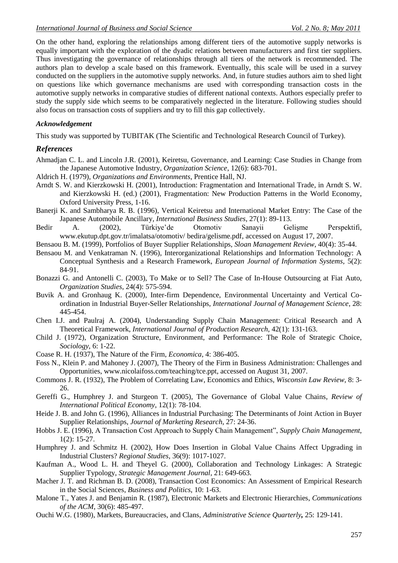On the other hand, exploring the relationships among different tiers of the automotive supply networks is equally important with the exploration of the dyadic relations between manufacturers and first tier suppliers. Thus investigating the governance of relationships through all tiers of the network is recommended. The authors plan to develop a scale based on this framework. Eventually, this scale will be used in a survey conducted on the suppliers in the automotive supply networks. And, in future studies authors aim to shed light on questions like which governance mechanisms are used with corresponding transaction costs in the automotive supply networks in comparative studies of different national contexts. Authors especially prefer to study the supply side which seems to be comparatively neglected in the literature. Following studies should also focus on transaction costs of suppliers and try to fill this gap collectively.

#### *Acknowledgement*

This study was supported by TUBITAK (The Scientific and Technological Research Council of Turkey).

#### *References*

- Ahmadjan C. L. and Lincoln J.R. (2001), Keiretsu, Governance, and Learning: Case Studies in Change from the Japanese Automotive Industry, *Organization Science*, 12(6): 683-701.
- Aldrich H. (1979), *Organizations and Environments*, Prentice Hall, NJ.
- Arndt S. W. and Kierzkowski H. (2001), Introduction: Fragmentation and International Trade, in Arndt S. W. and Kierzkowski H. (ed.) (2001), Fragmentation: New Production Patterns in the World Economy, Oxford University Press, 1-16.
- Banerji K. and Sambharya R. B. (1996), Vertical Keiretsu and International Market Entry: The Case of the Japanese Automobile Ancillary, *International Business Studies*, 27(1): 89-113.
- Bedir A. (2002), Türkiye'de Otomotiv Sanayii Gelişme Perspektifi, [www.ekutup.dpt.gov.tr/imalatsa/otomotiv/](http://www.ekutup.dpt.gov.tr/imalatsa/otomotiv/bedira/gelisme.pdf) bedira/gelisme.pdf, accessed on August 17, 2007.
- Bensaou B. M. (1999), Portfolios of Buyer Supplier Relationships, *Sloan Management Review*, 40(4): 35-44.
- Bensaou M. and Venkatraman N. (1996), Interorganizational Relationships and Information Technology: A Conceptual Synthesis and a Research Framework, *European Journal of Information Systems*, 5(2): 84-91.
- Bonazzi G. and Antonelli C. (2003), To Make or to Sell? The Case of In-House Outsourcing at Fiat Auto, *Organization Studies*, 24(4): 575-594.
- Buvik A. and Gronhaug K. (2000), Inter-firm Dependence, Environmental Uncertainty and Vertical Coordination in Industrial Buyer-Seller Relationships, *International Journal of Management Science*, 28: 445-454.
- Chen I.J. and Paulraj A. (2004), Understanding Supply Chain Management: Critical Research and A Theoretical Framework, *International Journal of Production Research*, 42(1): 131-163.
- Child J. (1972), Organization Structure, Environment, and Performance: The Role of Strategic Choice, *Sociology*, 6: 1-22.
- Coase R. H. (1937), The Nature of the Firm, *Economica*, 4: 386-405.
- Foss N., Klein P. and Mahoney J. (2007), The Theory of the Firm in Business Administration: Challenges and Opportunities, www.nicolaifoss.com/teaching/tce.ppt, accessed on August 31, 2007.
- Commons J. R. (1932), The Problem of Correlating Law, Economics and Ethics, *Wisconsin Law Review*, 8: 3- 26.
- Gereffi G., Humphrey J. and Sturgeon T. (2005), The Governance of Global Value Chains, *Review of International Political Economy*, 12(1): 78-104.
- Heide J. B. and John G. (1996), Alliances in Industrial Purchasing: The Determinants of Joint Action in Buyer Supplier Relationships, *Journal of Marketing Research*, 27: 24-36.
- Hobbs J. E. (1996), A Transaction Cost Approach to Supply Chain Management", *Supply Chain Management*, 1(2): 15-27.
- Humphrey J. and Schmitz H. (2002), How Does Insertion in Global Value Chains Affect Upgrading in Industrial Clusters? *Regional Studies*, 36(9): 1017-1027.
- Kaufman A., Wood L. H. and Theyel G. (2000), Collaboration and Technology Linkages: A Strategic Supplier Typology, *Strategic Management Journal*, 21: 649-663.
- Macher J. T. and Richman B. D. (2008), Transaction Cost Economics: An Assessment of Empirical Research in the Social Sciences, *Business and Politics*, 10: 1-63.
- Malone T., Yates J. and Benjamin R. (1987), Electronic Markets and Electronic Hierarchies, *Communications of the ACM*, 30(6): 485-497.
- Ouchi W.G. (1980), Markets, Bureaucracies, and Clans, *Administrative Science Quarterly,* 25: 129-141.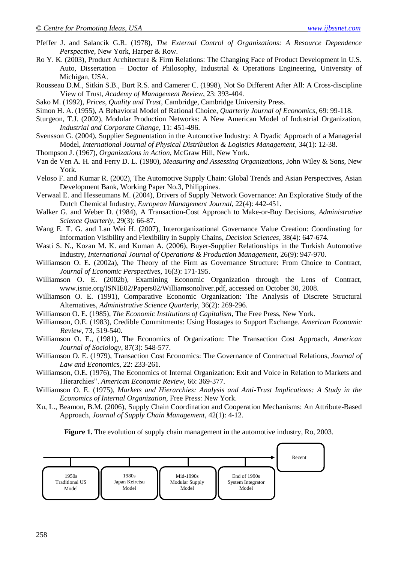- Pfeffer J. and Salancik G.R. (1978), *The External Control of Organizations: A Resource Dependence Perspective*, New York, Harper & Row.
- Ro Y. K. (2003), Product Architecture & Firm Relations: The Changing Face of Product Development in U.S. Auto, Dissertation – Doctor of Philosophy, Industrial & Operations Engineering, University of Michigan, USA.
- Rousseau D.M., Sitkin S.B., Burt R.S. and Camerer C. (1998), Not So Different After All: A Cross-discipline View of Trust, *Academy of Management Review*, 23: 393-404.
- Sako M. (1992), *Prices, Quality and Trust*, Cambridge, Cambridge University Press.
- Simon H. A. (1955), A Behavioral Model of Rational Choice, *Quarterly Journal of Economics*, 69: 99-118.
- Sturgeon, T.J. (2002), Modular Production Networks: A New American Model of Industrial Organization, *Industrial and Corporate Change*, 11: 451-496.
- Svensson G. (2004), Supplier Segmentation in the Automotive Industry: A Dyadic Approach of a Managerial Model, *International Journal of Physical Distribution & Logistics Management*, 34(1): 12-38.
- Thompson J. (1967), *Organizations in Action*, McGraw Hill, New York.
- Van de Ven A. H. and Ferry D. L. (1980), *Measuring and Assessing Organizations*, John Wiley & Sons, New York.
- Veloso F. and Kumar R. (2002), The Automotive Supply Chain: Global Trends and Asian Perspectives, Asian Development Bank, Working Paper No.3, Philippines.
- Verwaal E. and Hesseumans M. (2004), Drivers of Supply Network Governance: An Explorative Study of the Dutch Chemical Industry, *European Management Journal*, 22(4): 442-451.
- Walker G. and Weber D. (1984), A Transaction-Cost Approach to Make-or-Buy Decisions, *Administrative Science Quarterly*, 29(3): 66-87.
- Wang E. T. G. and Lan Wei H. (2007), Interorganizational Governance Value Creation: Coordinating for Information Visibility and Flexibility in Supply Chains, *Decision Sciences*, 38(4): 647-674.
- Wasti S. N., Kozan M. K. and Kuman A. (2006), Buyer-Supplier Relationships in the Turkish Automotive Industry, *International Journal of Operations & Production Management*, 26(9): 947-970.
- Williamson O. E. (2002a), The Theory of the Firm as Governance Structure: From Choice to Contract, *Journal of Economic Perspectives*, 16(3): 171-195.
- Williamson O. E. (2002b), Examining Economic Organization through the Lens of Contract, www.isnie.org/ISNIE02/Papers02/Williamsonoliver.pdf, accessed on October 30, 2008.
- Williamson O. E. (1991), Comparative Economic Organization: The Analysis of Discrete Structural Alternatives, *Administrative Science Quarterly*, 36(2): 269-296.
- Williamson O. E. (1985), *The Economic Institutions of Capitalism*, The Free Press, New York.
- Williamson, O.E. (1983), Credible Commitments: Using Hostages to Support Exchange. *American Economic Review*, 73, 519-540.
- Williamson O. E., (1981), The Economics of Organization: The Transaction Cost Approach, *American Journal of Sociology*, 87(3): 548-577.
- Williamson O. E. (1979), Transaction Cost Economics: The Governance of Contractual Relations, *Journal of Law and Economics*, 22: 233-261.
- Williamson, O.E. (1976), The Economics of Internal Organization: Exit and Voice in Relation to Markets and Hierarchies". *American Economic Review*, 66: 369-377.
- Williamson O. E. (1975), *Markets and Hierarchies: Analysis and Anti-Trust Implications: A Study in the Economics of Internal Organization*, Free Press: New York.
- Xu, L., Beamon, B.M. (2006), Supply Chain Coordination and Cooperation Mechanisms: An Attribute-Based Approach, *Journal of Supply Chain Management*, 42(1): 4-12.

**Figure 1.** The evolution of supply chain management in the automotive industry, Ro, 2003.

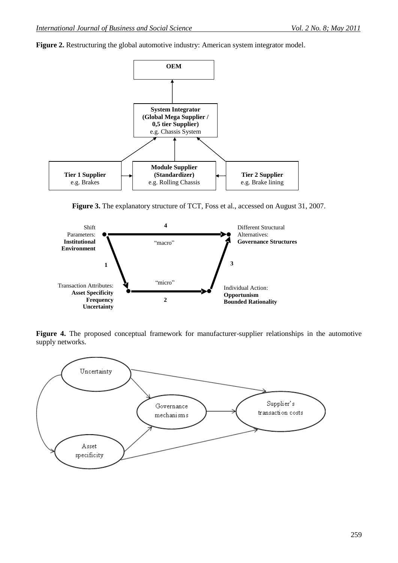**Figure 2.** Restructuring the global automotive industry: American system integrator model.



**Figure 3.** The explanatory structure of TCT, Foss et al., accessed on August 31, 2007.



**Figure 4.** The proposed conceptual framework for manufacturer-supplier relationships in the automotive supply networks.